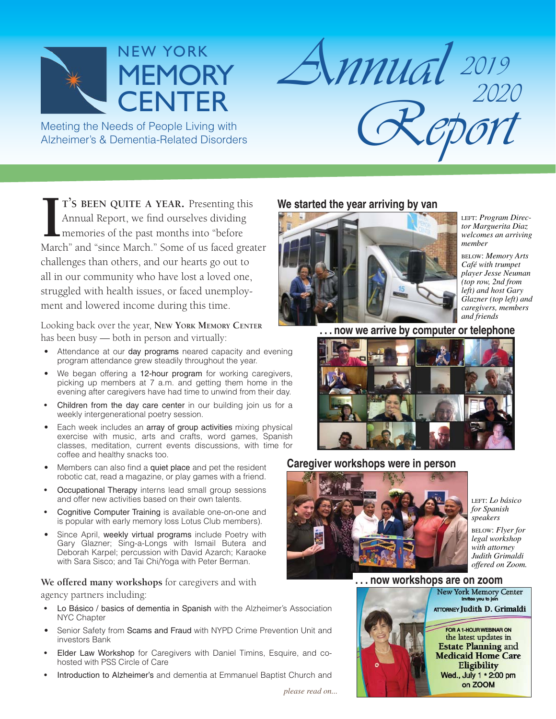

Meeting the Needs of People Living with Alzheimer's & Dementia-Related Disorders

**I** T'S BEEN QUITE A YEAR. Presenting this Annual Report, we find ourselves dividing memories of the past months into "before March" and "since March." Some of us faced greater **T'S BEEN QUITE A YEAR.** Presenting this Annual Report, we find ourselves dividing memories of the past months into "before challenges than others, and our hearts go out to all in our community who have lost a loved one, struggled with health issues, or faced unemployment and lowered income during this time.

Looking back over the year, **NEW YORK MEMORY CENTER** has been busy — both in person and virtually:

- Attendance at our day programs neared capacity and evening program attendance grew steadily throughout the year.
- We began offering a 12-hour program for working caregivers, picking up members at 7 a.m. and getting them home in the evening after caregivers have had time to unwind from their day.
- Children from the day care center in our building join us for a weekly intergenerational poetry session.
- Each week includes an array of group activities mixing physical exercise with music, arts and crafts, word games, Spanish classes, meditation, current events discussions, with time for coffee and healthy snacks too.
- Members can also find a quiet place and pet the resident robotic cat, read a magazine, or play games with a friend.
- Occupational Therapy interns lead small group sessions and offer new activities based on their own talents.
- Cognitive Computer Training is available one-on-one and is popular with early memory loss Lotus Club members).
- Since April, weekly virtual programs include Poetry with Gary Glazner; Sing-a-Longs with Ismail Butera and Deborah Karpel; percussion with David Azarch; Karaoke with Sara Sisco; and Tai Chi/Yoga with Peter Berman.

#### **We offered many workshops** for caregivers and with

agency partners including:

- Lo Básico / basics of dementia in Spanish with the Alzheimer's Association NYC Chapter
- Senior Safety from Scams and Fraud with NYPD Crime Prevention Unit and investors Bank
- Elder Law Workshop for Caregivers with Daniel Timins, Esquire, and cohosted with PSS Circle of Care
- Introduction to Alzheimer's and dementia at Emmanuel Baptist Church and

#### **We started the year arriving by van**

*<sup>2019</sup> Annual <sup>2020</sup> Report*



LEFT: *Program Director Marguerita Diaz welcomes an arriving member*

BELOW: *Memory Arts Café with trumpet player Jesse Neuman (top row, 2nd from left) and host Gary Glazner (top left) and caregivers, members and friends*

 **. . . now we arrive by computer or telephone**



#### **Caregiver workshops were in person**



LEFT: *Lo básico for Spanish speakers*

BELOW: *Flyer for legal workshop with attorney Judith Grimaldi offered on Zoom.*



*please read on...*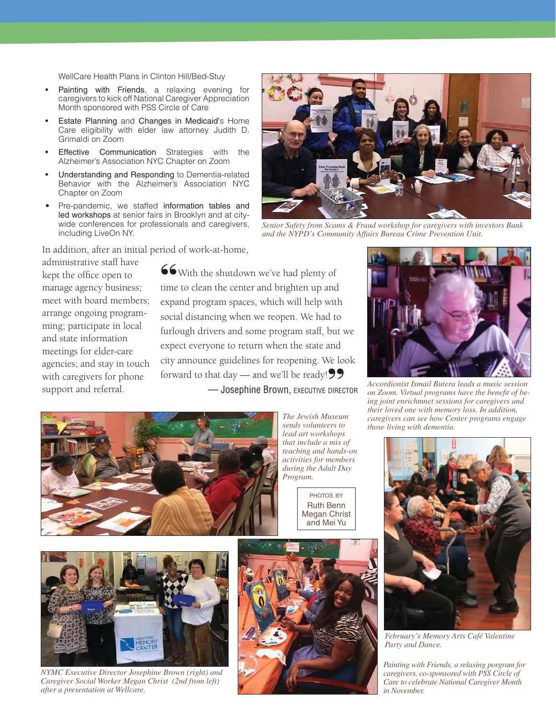WellCare Health Plans in Clinton Hill/Bed-Stuy

- Painting with Friends, a relaxing evening for caregivers to kick off National Caregiver Appreciation Month sponsored with PSS Circle of Care
- Estate Planning and Changes in Medicaid's Home Care eligibility with elder law attorney Judith D. Grimaldi on Zoom
- **Effective Communication** Strategies with the Alzheimer's Association NYC Chapter on Zoom
- Understanding and Responding to Dementia-related Behavior with the Alzheimer's Association NYC Chapter on Zoom
- Pre-pandemic, we staffed information tables and led workshops at senior fairs in Brooklyn and at citywide conferences for professionals and caregivers, including LiveOn NY.

In addition, after an initial period of work-at-home,



*Senior Safety from Scams & Fraud workshop for caregivers with investors Bank and the NYPD's Community Affairs Bureau Crime Prevention Unit.* 

administrative staff have kept the office open to manage agency business; meet with board members; arrange ongoing programming; participate in local and state information meetings for elder-care agencies; and stay in touch with caregivers for phone support and referral.

66 With the shutdown we've had plenty of time to clean the center and brighten up and expand program spaces, which will help with social distancing when we reopen. We had to furlough drivers and some program staff, but we expect everyone to return when the state and city announce guidelines for reopening. We look forward to that day — and we'll be ready!<br>
— **Josephine Brown**. EXECUTIVE DIREC — Josephine Brown, EXECUTIVE DIRECTOR



*The Jewish Museum sends volunteers to lead art workshops that include a mix of teaching and hands-on activities for members during the Adult Day Program.*

PHOTOS BY Ruth Benn Megan Christ and Mei Yu



*Accordionist Ismail Butera leads a music session on Zoom. Virtual programs have the benefi t of being joint enrichmnet sessions for caregivers and their loved one with memory loss. In addition, caregivers can see how Center programs engage those living with dementia.*



*February's Memory Arts Café Valentine Party and Dance.*

*Painting with Friends, a relaxing porgram for caregivers, co-sponsored with PSS Circle of Care to celebrate National Caregiver Month in November.*



*NYMC Executive Director Josephine Brown (right) and Caregiver Social Worker Megan Christ (2nd from left) after a presentation at Wellcare.*

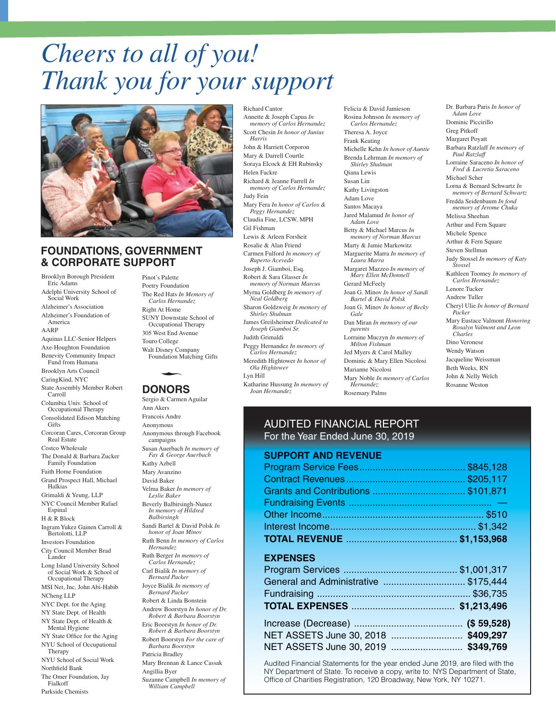# *Cheers to all of you! Thank you for your support*



#### **FOUNDATIONS, GOVERNMENT & CORPORATE SUPPORT**

Brooklyn Borough President Eric Adams Adelphi University School of Social Work Alzheimer's Association Alzheimer's Foundation of America Aquinas LLC-Senior Helpers Axe-Houghton Foundation Benevity Community Impact Fund from Humana Brooklyn Arts Council CaringKind, NYC State Assembly Member Robert Carroll Columbia Univ. School of Occupational Therapy Consolidated Edison Matching **Gifts** Corcoran Cares, Corcoran Group Real Estate Costco Wholesale The Donald & Barbara Zucker Family Foundation Faith Home Foundation Grand Prospect Hall, Michael Halkias Grimaldi & Yeung, LLP NYC Council Member Rafael Espinal H & R Block Ingram Yukez Gainen Carroll & Bertolotti, LLP Investors Foundation City Council Member Brad Lander Long Island University School of Social Work & School of Occupational Therapy MSI Net, Inc, John Abi-Habib NCheng LLP NYC Dept. for the Aging NY State Dept. of Health NY State Dept. of Health & Mental Hygiene NY State Office for the Aging NYU School of Occupational **Therapy** NYU School of Social Work Northfield Bank The Omer Foundation, Jay Fialkoff

Parkside Chemists

AARP

Pinot's Palette Poetry Foundation The Red Hats *In Memory of Carlos Hernandez* Right At Home SUNY Downstate School of Occupational Therapy 305 West End Avenue Touro College Walt Disney Company Foundation Matching Gifts -

#### **DONORS**

Sergio & Carmen Aguilar Ann Akers Francois Andre Anonymous Anonymous through Facebook campaigns Susan Auerbach *In memory of Fay & George Auerbach* Kathy Azbell Mary Avanzino David Baker Velma Baker *In memory of Leslie Baker* Beverly Balbirsingh-Nunez *In memory of Hildred Balbirsingh* Sandi Bartel & David Polsk *In honor of Joan Minov* Ruth Benn *In memory of Carlos Hernandez*  Ruth Berger *In memory of Carlos Hernandez* Carl Bialik *In memory of Bernard Packer*  Joyce Bialik *In memory of Bernard Packer* Robert & Linda Bonstein Andrew Boorstyn *In honor of Dr. Robert & Barbara Boorstyn* Eric Boorstyn *In honor of Dr. Robert & Barbara Boorstyn* Robert Boorstyn *For the care of Barbara Boorstyn* Patricia Bradley Mary Brennan & Lance Cassak Angillia Byer Suzanne Campbell *In memory of William Campbell*

Annette & Joseph Capua *In memory of Carlos Hernandez* Scott Chesin *In honor of Junius Harris* John & Harriett Corporon Mary & Darrell Courtle Soraya Elcock & EH Rubinsky Helen Fackre Richard & Jeanne Farrell *In memory of Carlos Hernandez* Judy Fein Mary Fera *In honor of Carlos & Peggy Hernandez*  Claudia Fine, LCSW, MPH Gil Fishman Lewis & Arleen Forsheit Rosalie & Alan Friend Carmen Fulford *In memory of Ruperto Acevedo* Joseph J. Giamboi, Esq. Robert & Sara Glasser *In memory of Norman Marcu*s Myrna Goldberg *In memory of Neal Goldberg* Sharon Goldzweig *In memory of Shirley Shulman* James Greilsheimer *Dedicated to Joseph Giamboi Sr.* Judith Grimaldi Peggy Hernandez *In memory of Carlos Hernandez*  Meredith Hightower *In honor of Ola Hightower* Lyn Hill Katharine Hussung *In memory of Joan Hernandez*

Richard Cantor

Felicia & David Jamieson Rosina Johnson *In memory of Carlos Hernandez*  Theresa A. Joyce Frank Keating Michelle Kehn *In honor of Auntie* Brenda Lehrman *In memory of Shirley Shulman* Qiana Lewis Susan Lin Kathy Livingston Adam Love Santos Macaya Jared Malamud *In honor of Adam Love* Betty & Michael Marcus *In memory of Norman Marcus* Marty & Jamie Markowitz Marguerite Marra *In memory of Laura Marra* Margaret Mazzeo *In memory of Mary Ellen McDonnell* Gerard McFeely Joan G. Minov *In honor of Sandi Bartel & David Polsk* Joan G. Minov *In honor of Becky Gale* Dan Miran *In memory of our parents* Lorraine Muczyn *In memory of Milton Fishman* Jed Myers & Carol Malley Dominic & Mary Ellen Nicolosi Marianne Nicolosi Mary Noble *In memory of Carlos Hernandez* Rosemary Palms

Dr. Barbara Paris *In honor of Adam Love* Dominic Piccirillo Greg Pitkoff Margaret Poyatt Barbara Ratzlaff *In memory of Paul Ratzlaff* Lorraine Saraceno *In honor of Fred & Lucretia Saraceno* Michael Scher Lorna & Bernard Schwartz *In memory of Bernard Schwartz* Fredda Seidenbaum *In fond memory of Jerome Chuka* Melissa Sheehan Arthur and Fern Square Michele Spence Arthur & Fern Square Steven Stellman Judy Stossel *In memory of Katy Stossel* Kathleen Toomey *In memory of Carlos Hernandez*  Lenore Tucker Andrew Tuller Cheryl Ulie *In honor of Bernard Packer* Mary Eustace Valmont *Honoring Rosalyn Valmont and Leon Charles* Dino Veronese Wendy Watson Jacqueline Weissman Beth Weeks, RN John & Nelly Welch Rosanne Weston

#### AUDITED FINANCIAL REPORT For the Year Ended June 30, 2019

#### **SUPPORT AND REVENUE**

|                                       | \$845,128 |
|---------------------------------------|-----------|
|                                       |           |
|                                       |           |
|                                       |           |
|                                       |           |
|                                       |           |
|                                       |           |
| <b>EXPENSES</b>                       |           |
|                                       |           |
| General and Administrative  \$175,444 |           |
|                                       |           |
|                                       |           |
|                                       |           |
| NET ASSETS June 30, 2018              | \$409,297 |
| NET ASSETS June 30, 2019              | \$349,769 |
|                                       |           |

Audited Financial Statements for the year ended June 2019, are filed with the NY Department of State. To receive a copy, write to: NYS Department of State, Office of Charities Registration, 120 Broadway, New York, NY 10271.